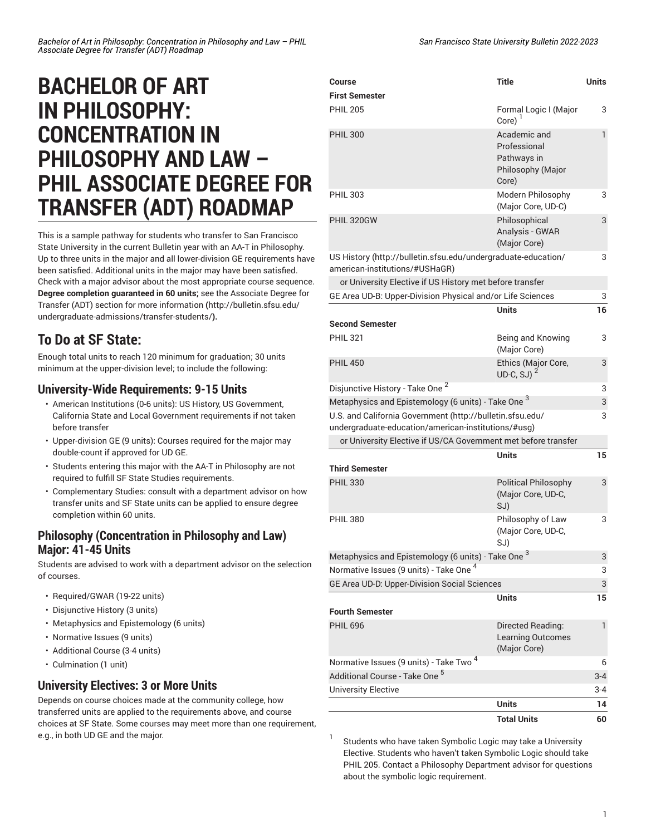# **BACHELOR OF ART IN PHILOSOPHY: CONCENTRATION IN PHILOSOPHY AND LAW – PHIL ASSOCIATE DEGREE FOR TRANSFER (ADT) ROADMAP**

This is a sample pathway for students who transfer to San Francisco State University in the current Bulletin year with an AA-T in Philosophy. Up to three units in the major and all lower-division GE requirements have been satisfied. Additional units in the major may have been satisfied. Check with a major advisor about the most appropriate course sequence. **Degree completion guaranteed in 60 units;** see the [Associate](http://bulletin.sfsu.edu/undergraduate-admissions/transfer-students/) Degree for Transfer (ADT) section for more [information](http://bulletin.sfsu.edu/undergraduate-admissions/transfer-students/) **(**[http://bulletin.sfsu.edu/](http://bulletin.sfsu.edu/undergraduate-admissions/transfer-students/) [undergraduate-admissions/transfer-students/](http://bulletin.sfsu.edu/undergraduate-admissions/transfer-students/)**).**

## **To Do at SF State:**

Enough total units to reach 120 minimum for graduation; 30 units minimum at the upper-division level; to include the following:

#### **University-Wide Requirements: 9-15 Units**

- American Institutions (0-6 units): US History, US Government, California State and Local Government requirements if not taken before transfer
- Upper-division GE (9 units): Courses required for the major may double-count if approved for UD GE.
- Students entering this major with the AA-T in Philosophy are not required to fulfill SF State Studies requirements.
- Complementary Studies: consult with a department advisor on how transfer units and SF State units can be applied to ensure degree completion within 60 units.

#### **Philosophy (Concentration in Philosophy and Law) Major: 41-45 Units**

Students are advised to work with a department advisor on the selection of courses.

- Required/GWAR (19-22 units)
- Disjunctive History (3 units)
- Metaphysics and Epistemology (6 units)
- Normative Issues (9 units)
- Additional Course (3-4 units)
- Culmination (1 unit)

### **University Electives: 3 or More Units**

Depends on course choices made at the community college, how transferred units are applied to the requirements above, and course choices at SF State. Some courses may meet more than one requirement, e.g., in both UD GE and the major.

| San Francisco State University Bulletin 2022-2023 |  |
|---------------------------------------------------|--|
|---------------------------------------------------|--|

| Course                                                                                                           | <b>Title</b>                                                                       | <b>Units</b> |
|------------------------------------------------------------------------------------------------------------------|------------------------------------------------------------------------------------|--------------|
| <b>First Semester</b><br><b>PHIL 205</b>                                                                         | Formal Logic I (Major                                                              | 3            |
| <b>PHIL 300</b>                                                                                                  | Core)<br>Academic and<br>Professional<br>Pathways in<br>Philosophy (Major<br>Core) | $\mathbf{1}$ |
| <b>PHIL 303</b>                                                                                                  | Modern Philosophy<br>(Major Core, UD-C)                                            | 3            |
| PHIL 320GW                                                                                                       | Philosophical<br>Analysis - GWAR<br>(Major Core)                                   | 3            |
| US History (http://bulletin.sfsu.edu/undergraduate-education/<br>american-institutions/#USHaGR)                  |                                                                                    | 3            |
| or University Elective if US History met before transfer                                                         |                                                                                    |              |
| GE Area UD-B: Upper-Division Physical and/or Life Sciences                                                       |                                                                                    | 3            |
|                                                                                                                  | <b>Units</b>                                                                       | 16           |
| <b>Second Semester</b>                                                                                           |                                                                                    |              |
| <b>PHIL 321</b>                                                                                                  | Being and Knowing<br>(Major Core)                                                  | 3            |
| <b>PHIL 450</b>                                                                                                  | Ethics (Major Core,<br>UD-C, SJ $)^2$                                              | 3            |
| Disjunctive History - Take One <sup>2</sup>                                                                      |                                                                                    | 3            |
| Metaphysics and Epistemology (6 units) - Take One $^3$                                                           |                                                                                    | 3            |
| U.S. and California Government (http://bulletin.sfsu.edu/<br>undergraduate-education/american-institutions/#usg) |                                                                                    | 3            |
| or University Elective if US/CA Government met before transfer                                                   |                                                                                    |              |
| <b>Third Semester</b>                                                                                            | <b>Units</b>                                                                       | 15           |
| <b>PHIL 330</b>                                                                                                  |                                                                                    | 3            |
|                                                                                                                  | <b>Political Philosophy</b><br>(Major Core, UD-C,<br>SJ)                           |              |
| <b>PHIL 380</b>                                                                                                  | Philosophy of Law<br>(Major Core, UD-C,<br>SJ) l                                   | 3            |
| Metaphysics and Epistemology (6 units) - Take One <sup>3</sup>                                                   |                                                                                    | 3            |
| Normative Issues (9 units) - Take One <sup>4</sup>                                                               |                                                                                    | 3            |
| GE Area UD-D: Upper-Division Social Sciences                                                                     |                                                                                    | 3            |
|                                                                                                                  | <b>Units</b>                                                                       | 15           |
| <b>Fourth Semester</b>                                                                                           |                                                                                    |              |
| <b>PHIL 696</b>                                                                                                  | Directed Reading:<br><b>Learning Outcomes</b><br>(Major Core)                      | 1            |
| Normative Issues (9 units) - Take Two <sup>4</sup>                                                               |                                                                                    | 6            |
| Additional Course - Take One <sup>5</sup>                                                                        |                                                                                    | $3 - 4$      |
| <b>University Elective</b>                                                                                       |                                                                                    | 3-4          |
|                                                                                                                  | <b>Units</b>                                                                       | 14           |
|                                                                                                                  | <b>Total Units</b>                                                                 | 60           |

Students who have taken Symbolic Logic may take a University Elective. Students who haven't taken Symbolic Logic should take PHIL 205. Contact a Philosophy Department advisor for questions about the symbolic logic requirement.

1